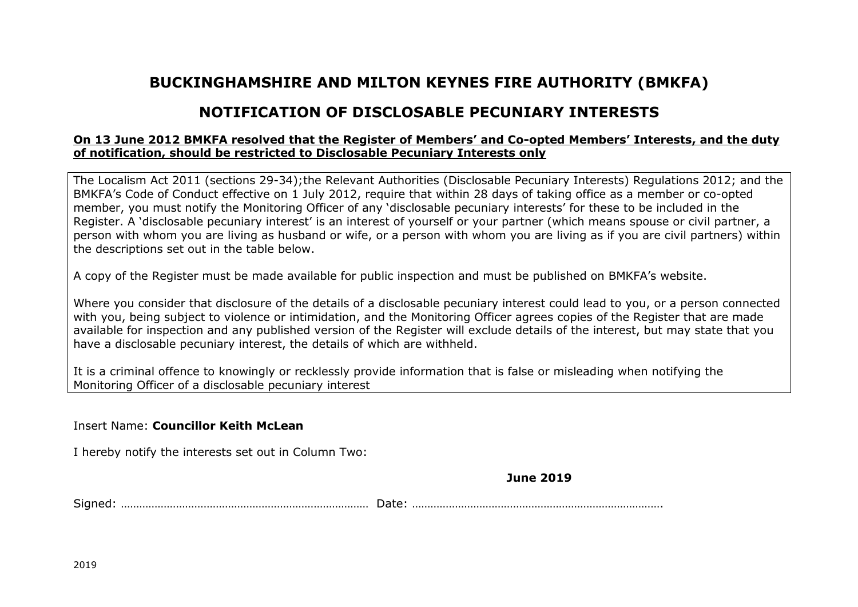# **BUCKINGHAMSHIRE AND MILTON KEYNES FIRE AUTHORITY (BMKFA)**

# **NOTIFICATION OF DISCLOSABLE PECUNIARY INTERESTS**

## **On 13 June 2012 BMKFA resolved that the Register of Members' and Co-opted Members' Interests, and the duty of notification, should be restricted to Disclosable Pecuniary Interests only**

The Localism Act 2011 (sections 29-34);the Relevant Authorities (Disclosable Pecuniary Interests) Regulations 2012; and the BMKFA's Code of Conduct effective on 1 July 2012, require that within 28 days of taking office as a member or co-opted member, you must notify the Monitoring Officer of any 'disclosable pecuniary interests' for these to be included in the Register. A 'disclosable pecuniary interest' is an interest of yourself or your partner (which means spouse or civil partner, a person with whom you are living as husband or wife, or a person with whom you are living as if you are civil partners) within the descriptions set out in the table below.

A copy of the Register must be made available for public inspection and must be published on BMKFA's website.

Where you consider that disclosure of the details of a disclosable pecuniary interest could lead to you, or a person connected with you, being subject to violence or intimidation, and the Monitoring Officer agrees copies of the Register that are made available for inspection and any published version of the Register will exclude details of the interest, but may state that you have a disclosable pecuniary interest, the details of which are withheld.

It is a criminal offence to knowingly or recklessly provide information that is false or misleading when notifying the Monitoring Officer of a disclosable pecuniary interest

### Insert Name: **Councillor Keith McLean**

I hereby notify the interests set out in Column Two:

### **June 2019**

Signed: ……………………………………………………………………… Date: ……………………………………………………………………….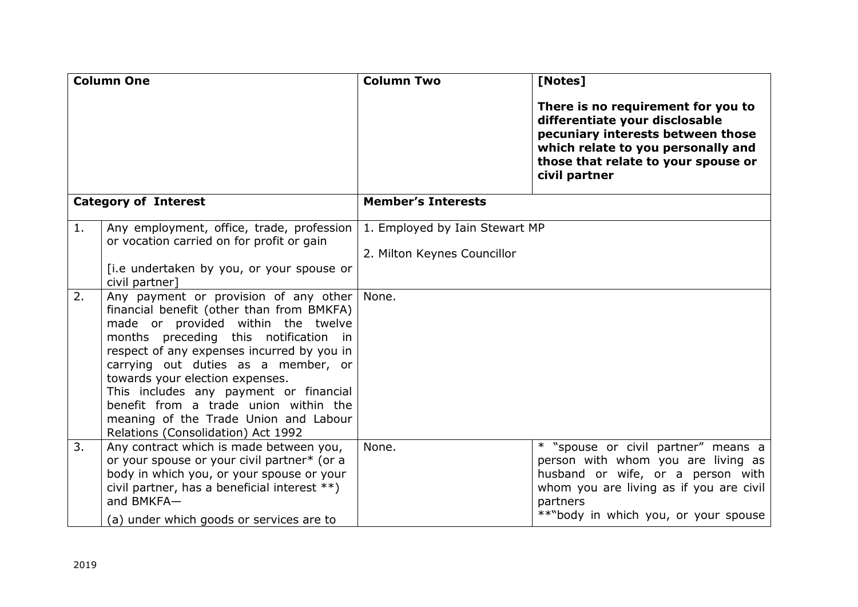| <b>Column One</b>           |                                                                                                                                                                                                                                                                                                                                                                                                                 | <b>Column Two</b>                                                      | [Notes]                                                                                                                                                                                                       |
|-----------------------------|-----------------------------------------------------------------------------------------------------------------------------------------------------------------------------------------------------------------------------------------------------------------------------------------------------------------------------------------------------------------------------------------------------------------|------------------------------------------------------------------------|---------------------------------------------------------------------------------------------------------------------------------------------------------------------------------------------------------------|
|                             |                                                                                                                                                                                                                                                                                                                                                                                                                 |                                                                        | There is no requirement for you to<br>differentiate your disclosable<br>pecuniary interests between those<br>which relate to you personally and<br>those that relate to your spouse or<br>civil partner       |
| <b>Category of Interest</b> |                                                                                                                                                                                                                                                                                                                                                                                                                 | <b>Member's Interests</b>                                              |                                                                                                                                                                                                               |
| 1.<br>2.                    | Any employment, office, trade, profession<br>or vocation carried on for profit or gain<br>[i.e undertaken by you, or your spouse or<br>civil partner]<br>Any payment or provision of any other<br>financial benefit (other than from BMKFA)<br>made or provided within the twelve<br>months preceding this notification in<br>respect of any expenses incurred by you in<br>carrying out duties as a member, or | 1. Employed by Iain Stewart MP<br>2. Milton Keynes Councillor<br>None. |                                                                                                                                                                                                               |
|                             | towards your election expenses.<br>This includes any payment or financial<br>benefit from a trade union within the<br>meaning of the Trade Union and Labour<br>Relations (Consolidation) Act 1992                                                                                                                                                                                                               |                                                                        |                                                                                                                                                                                                               |
| 3.                          | Any contract which is made between you,<br>or your spouse or your civil partner* (or a<br>body in which you, or your spouse or your<br>civil partner, has a beneficial interest **)<br>and BMKFA-<br>(a) under which goods or services are to                                                                                                                                                                   | None.                                                                  | * "spouse or civil partner" means a<br>person with whom you are living as<br>husband or wife, or a person with<br>whom you are living as if you are civil<br>partners<br>**"body in which you, or your spouse |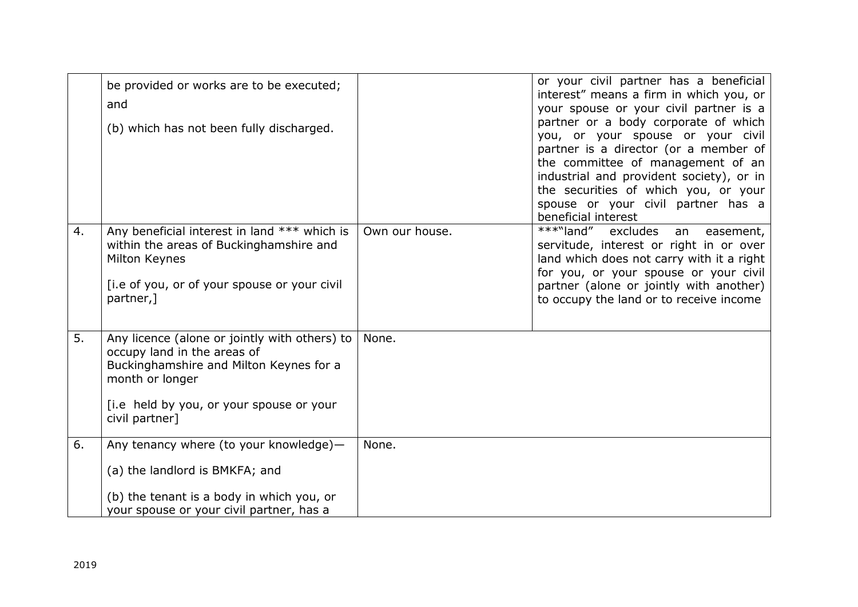|    | be provided or works are to be executed;<br>and<br>(b) which has not been fully discharged.                                                                                                              |                | or your civil partner has a beneficial<br>interest" means a firm in which you, or<br>your spouse or your civil partner is a<br>partner or a body corporate of which<br>you, or your spouse or your civil<br>partner is a director (or a member of<br>the committee of management of an<br>industrial and provident society), or in<br>the securities of which you, or your<br>spouse or your civil partner has a<br>beneficial interest |
|----|----------------------------------------------------------------------------------------------------------------------------------------------------------------------------------------------------------|----------------|-----------------------------------------------------------------------------------------------------------------------------------------------------------------------------------------------------------------------------------------------------------------------------------------------------------------------------------------------------------------------------------------------------------------------------------------|
| 4. | Any beneficial interest in land *** which is<br>within the areas of Buckinghamshire and<br>Milton Keynes<br>[i.e of you, or of your spouse or your civil<br>partner,]                                    | Own our house. | ***"land"<br>excludes<br>easement,<br>an<br>servitude, interest or right in or over<br>land which does not carry with it a right<br>for you, or your spouse or your civil<br>partner (alone or jointly with another)<br>to occupy the land or to receive income                                                                                                                                                                         |
| 5. | Any licence (alone or jointly with others) to<br>occupy land in the areas of<br>Buckinghamshire and Milton Keynes for a<br>month or longer<br>[i.e held by you, or your spouse or your<br>civil partner] | None.          |                                                                                                                                                                                                                                                                                                                                                                                                                                         |
| 6. | Any tenancy where (to your knowledge)-<br>(a) the landlord is BMKFA; and<br>(b) the tenant is a body in which you, or<br>your spouse or your civil partner, has a                                        | None.          |                                                                                                                                                                                                                                                                                                                                                                                                                                         |